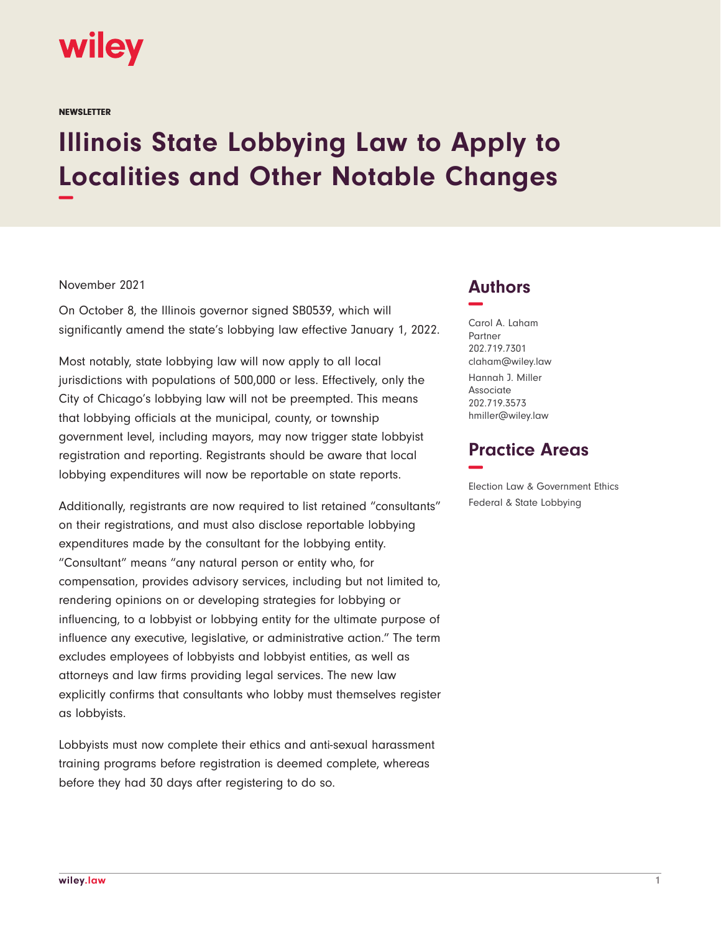

**NEWSLETTER** 

## **Illinois State Lobbying Law to Apply to Localities and Other Notable Changes −**

## November 2021

On October 8, the Illinois governor signed SB0539, which will significantly amend the state's lobbying law effective January 1, 2022.

Most notably, state lobbying law will now apply to all local jurisdictions with populations of 500,000 or less. Effectively, only the City of Chicago's lobbying law will not be preempted. This means that lobbying officials at the municipal, county, or township government level, including mayors, may now trigger state lobbyist registration and reporting. Registrants should be aware that local lobbying expenditures will now be reportable on state reports.

Additionally, registrants are now required to list retained "consultants" on their registrations, and must also disclose reportable lobbying expenditures made by the consultant for the lobbying entity. "Consultant" means "any natural person or entity who, for compensation, provides advisory services, including but not limited to, rendering opinions on or developing strategies for lobbying or influencing, to a lobbyist or lobbying entity for the ultimate purpose of influence any executive, legislative, or administrative action." The term excludes employees of lobbyists and lobbyist entities, as well as attorneys and law firms providing legal services. The new law explicitly confirms that consultants who lobby must themselves register as lobbyists.

Lobbyists must now complete their ethics and anti-sexual harassment training programs before registration is deemed complete, whereas before they had 30 days after registering to do so.

## **Authors −**

Carol A. Laham Partner 202.719.7301 claham@wiley.law Hannah J. Miller Associate 202.719.3573 hmiller@wiley.law

## **Practice Areas −**

Election Law & Government Ethics Federal & State Lobbying